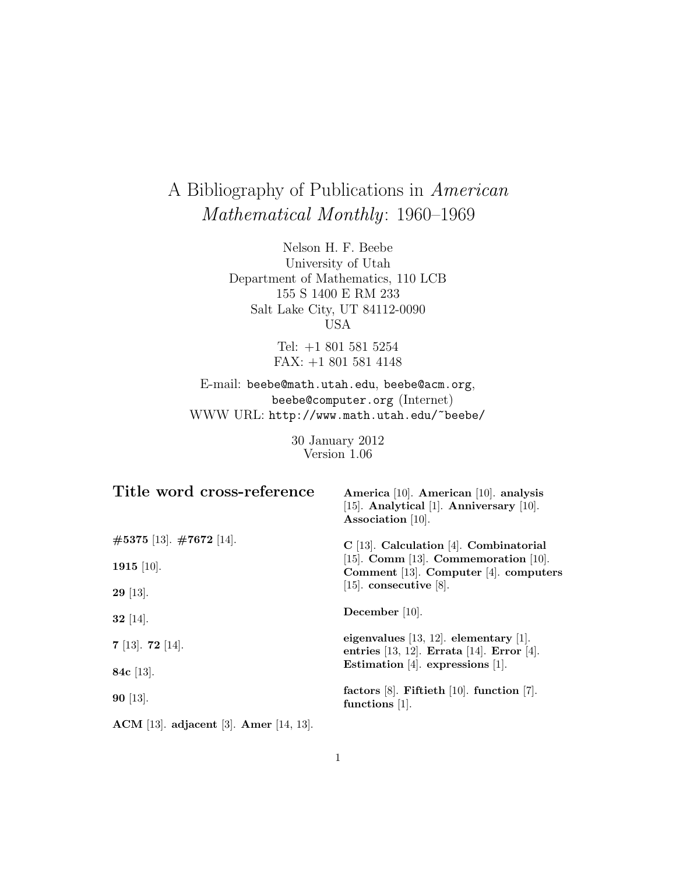# A Bibliography of Publications in American Mathematical Monthly: 1960–1969

Nelson H. F. Beebe University of Utah Department of Mathematics, 110 LCB 155 S 1400 E RM 233 Salt Lake City, UT 84112-0090 USA

> Tel: +1 801 581 5254 FAX: +1 801 581 4148

E-mail: beebe@math.utah.edu, beebe@acm.org, beebe@computer.org (Internet) WWW URL: http://www.math.utah.edu/~beebe/

> 30 January 2012 Version 1.06

| Title word cross-reference               | America [10]. American [10]. analysis<br>[15]. Analytical [1]. Anniversary $[10]$ .<br>Association $[10]$ . |
|------------------------------------------|-------------------------------------------------------------------------------------------------------------|
| $\#5375$ [13]. $\#7672$ [14].            | $C$ [13]. Calculation [4]. Combinatorial                                                                    |
| 1915 [10].                               | [15]. Comm [13]. Commemoration [10].<br>Comment $[13]$ . Computer $[4]$ . computers                         |
| $29$ [13].                               | [15]. consecutive [8].                                                                                      |
| $32$ [14].                               | December $[10]$ .                                                                                           |
| $7$ [13]. $72$ [14].                     | eigenvalues $[13, 12]$ . elementary $[1]$ .<br>entries $[13, 12]$ . Errata $[14]$ . Error $[4]$ .           |
| 84 $c$ [13].                             | Estimation [4]. expressions [1].                                                                            |
| $90$ [13].                               | factors $[8]$ . Fiftieth $[10]$ . function $[7]$ .<br>functions $[1]$ .                                     |
| $ACM$ [13]. adjacent [3]. Amer [14, 13]. |                                                                                                             |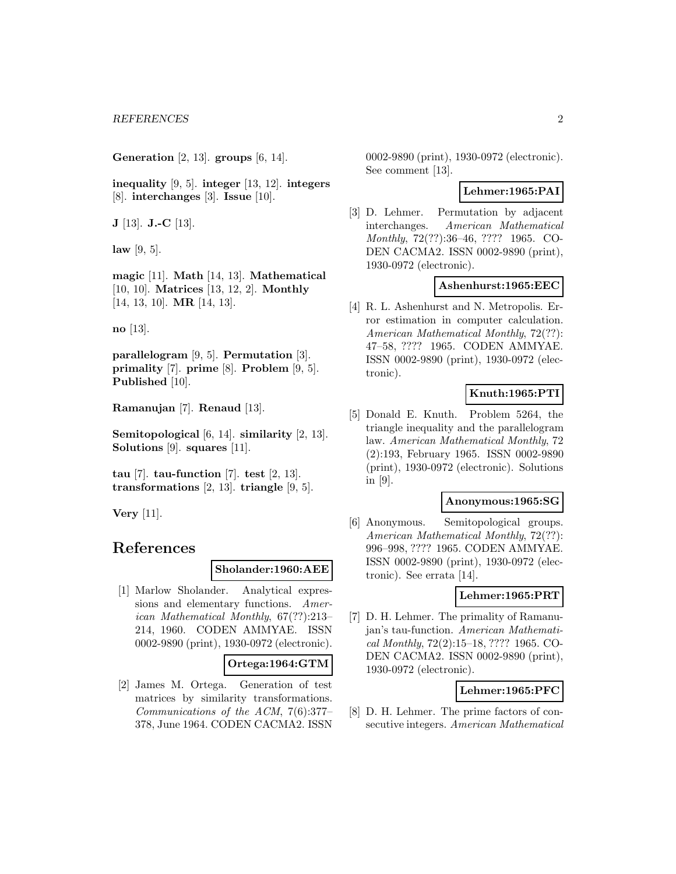**Generation** [2, 13]. **groups** [6, 14].

**inequality** [9, 5]. **integer** [13, 12]. **integers** [8]. **interchanges** [3]. **Issue** [10].

**J** [13]. **J.-C** [13].

**law** [9, 5].

**magic** [11]. **Math** [14, 13]. **Mathematical** [10, 10]. **Matrices** [13, 12, 2]. **Monthly** [14, 13, 10]. **MR** [14, 13].

**no** [13].

**parallelogram** [9, 5]. **Permutation** [3]. **primality** [7]. **prime** [8]. **Problem** [9, 5]. **Published** [10].

**Ramanujan** [7]. **Renaud** [13].

**Semitopological** [6, 14]. **similarity** [2, 13]. **Solutions** [9]. **squares** [11].

**tau** [7]. **tau-function** [7]. **test** [2, 13]. **transformations** [2, 13]. **triangle** [9, 5].

**Very** [11].

# **References**

#### **Sholander:1960:AEE**

[1] Marlow Sholander. Analytical expressions and elementary functions. American Mathematical Monthly, 67(??):213– 214, 1960. CODEN AMMYAE. ISSN 0002-9890 (print), 1930-0972 (electronic).

#### **Ortega:1964:GTM**

[2] James M. Ortega. Generation of test matrices by similarity transformations. Communications of the ACM, 7(6):377– 378, June 1964. CODEN CACMA2. ISSN

0002-9890 (print), 1930-0972 (electronic). See comment [13].

#### **Lehmer:1965:PAI**

[3] D. Lehmer. Permutation by adjacent interchanges. American Mathematical Monthly, 72(??):36–46, ???? 1965. CO-DEN CACMA2. ISSN 0002-9890 (print), 1930-0972 (electronic).

#### **Ashenhurst:1965:EEC**

[4] R. L. Ashenhurst and N. Metropolis. Error estimation in computer calculation. American Mathematical Monthly, 72(??): 47–58, ???? 1965. CODEN AMMYAE. ISSN 0002-9890 (print), 1930-0972 (electronic).

## **Knuth:1965:PTI**

[5] Donald E. Knuth. Problem 5264, the triangle inequality and the parallelogram law. American Mathematical Monthly, 72 (2):193, February 1965. ISSN 0002-9890 (print), 1930-0972 (electronic). Solutions in [9].

#### **Anonymous:1965:SG**

[6] Anonymous. Semitopological groups. American Mathematical Monthly, 72(??): 996–998, ???? 1965. CODEN AMMYAE. ISSN 0002-9890 (print), 1930-0972 (electronic). See errata [14].

## **Lehmer:1965:PRT**

[7] D. H. Lehmer. The primality of Ramanujan's tau-function. American Mathematical Monthly, 72(2):15–18, ???? 1965. CO-DEN CACMA2. ISSN 0002-9890 (print), 1930-0972 (electronic).

#### **Lehmer:1965:PFC**

[8] D. H. Lehmer. The prime factors of consecutive integers. American Mathematical